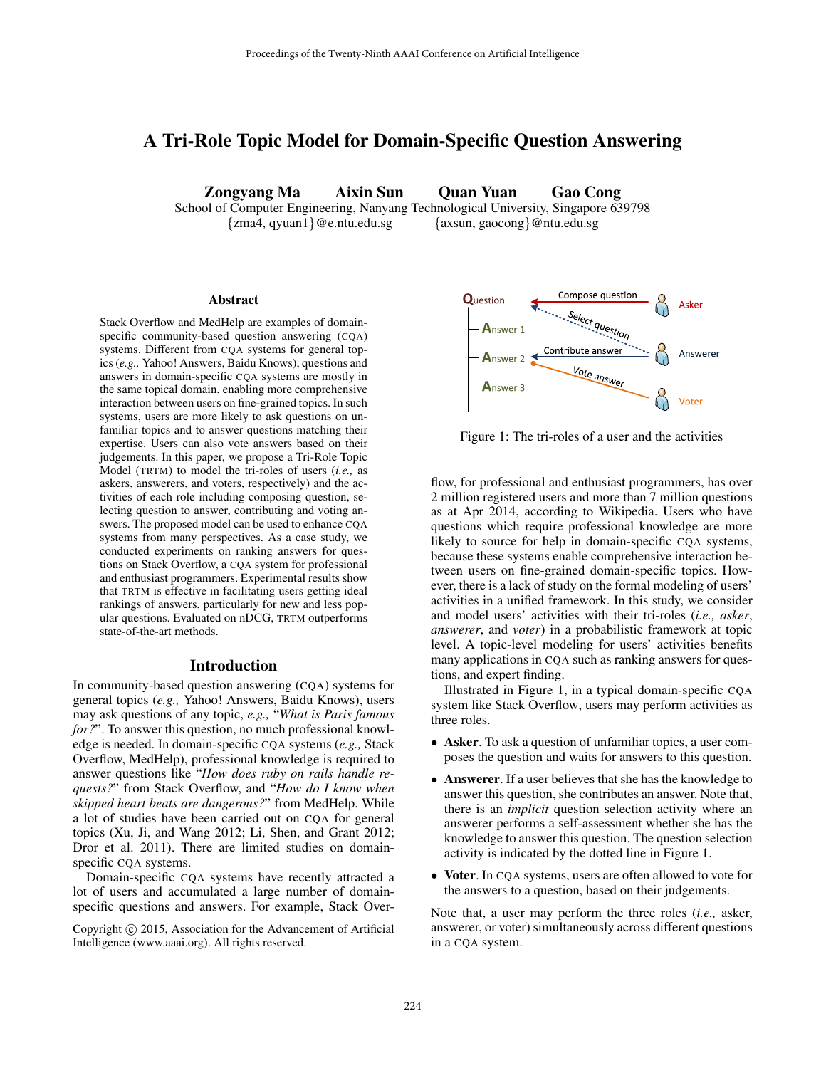# A Tri-Role Topic Model for Domain-Specific Question Answering

Zongyang Ma Aixin Sun Quan Yuan Gao Cong

School of Computer Engineering, Nanyang Technological University, Singapore 639798 {zma4, qyuan1}@e.ntu.edu.sg {axsun, gaocong}@ntu.edu.sg

#### Abstract

Stack Overflow and MedHelp are examples of domainspecific community-based question answering (CQA) systems. Different from CQA systems for general topics (*e.g.,* Yahoo! Answers, Baidu Knows), questions and answers in domain-specific CQA systems are mostly in the same topical domain, enabling more comprehensive interaction between users on fine-grained topics. In such systems, users are more likely to ask questions on unfamiliar topics and to answer questions matching their expertise. Users can also vote answers based on their judgements. In this paper, we propose a Tri-Role Topic Model (TRTM) to model the tri-roles of users (*i.e.,* as askers, answerers, and voters, respectively) and the activities of each role including composing question, selecting question to answer, contributing and voting answers. The proposed model can be used to enhance CQA systems from many perspectives. As a case study, we conducted experiments on ranking answers for questions on Stack Overflow, a CQA system for professional and enthusiast programmers. Experimental results show that TRTM is effective in facilitating users getting ideal rankings of answers, particularly for new and less popular questions. Evaluated on nDCG, TRTM outperforms state-of-the-art methods.

### Introduction

In community-based question answering (CQA) systems for general topics (*e.g.,* Yahoo! Answers, Baidu Knows), users may ask questions of any topic, *e.g.,* "*What is Paris famous for?*". To answer this question, no much professional knowledge is needed. In domain-specific CQA systems (*e.g.,* Stack Overflow, MedHelp), professional knowledge is required to answer questions like "*How does ruby on rails handle requests?*" from Stack Overflow, and "*How do I know when skipped heart beats are dangerous?*" from MedHelp. While a lot of studies have been carried out on CQA for general topics (Xu, Ji, and Wang 2012; Li, Shen, and Grant 2012; Dror et al. 2011). There are limited studies on domainspecific CQA systems.

Domain-specific CQA systems have recently attracted a lot of users and accumulated a large number of domainspecific questions and answers. For example, Stack Over-



Figure 1: The tri-roles of a user and the activities

flow, for professional and enthusiast programmers, has over 2 million registered users and more than 7 million questions as at Apr 2014, according to Wikipedia. Users who have questions which require professional knowledge are more likely to source for help in domain-specific CQA systems, because these systems enable comprehensive interaction between users on fine-grained domain-specific topics. However, there is a lack of study on the formal modeling of users' activities in a unified framework. In this study, we consider and model users' activities with their tri-roles (*i.e., asker*, *answerer*, and *voter*) in a probabilistic framework at topic level. A topic-level modeling for users' activities benefits many applications in CQA such as ranking answers for questions, and expert finding.

Illustrated in Figure 1, in a typical domain-specific CQA system like Stack Overflow, users may perform activities as three roles.

- Asker. To ask a question of unfamiliar topics, a user composes the question and waits for answers to this question.
- Answerer. If a user believes that she has the knowledge to answer this question, she contributes an answer. Note that, there is an *implicit* question selection activity where an answerer performs a self-assessment whether she has the knowledge to answer this question. The question selection activity is indicated by the dotted line in Figure 1.
- Voter. In CQA systems, users are often allowed to vote for the answers to a question, based on their judgements.

Note that, a user may perform the three roles (*i.e.,* asker, answerer, or voter) simultaneously across different questions in a CQA system.

Copyright (c) 2015, Association for the Advancement of Artificial Intelligence (www.aaai.org). All rights reserved.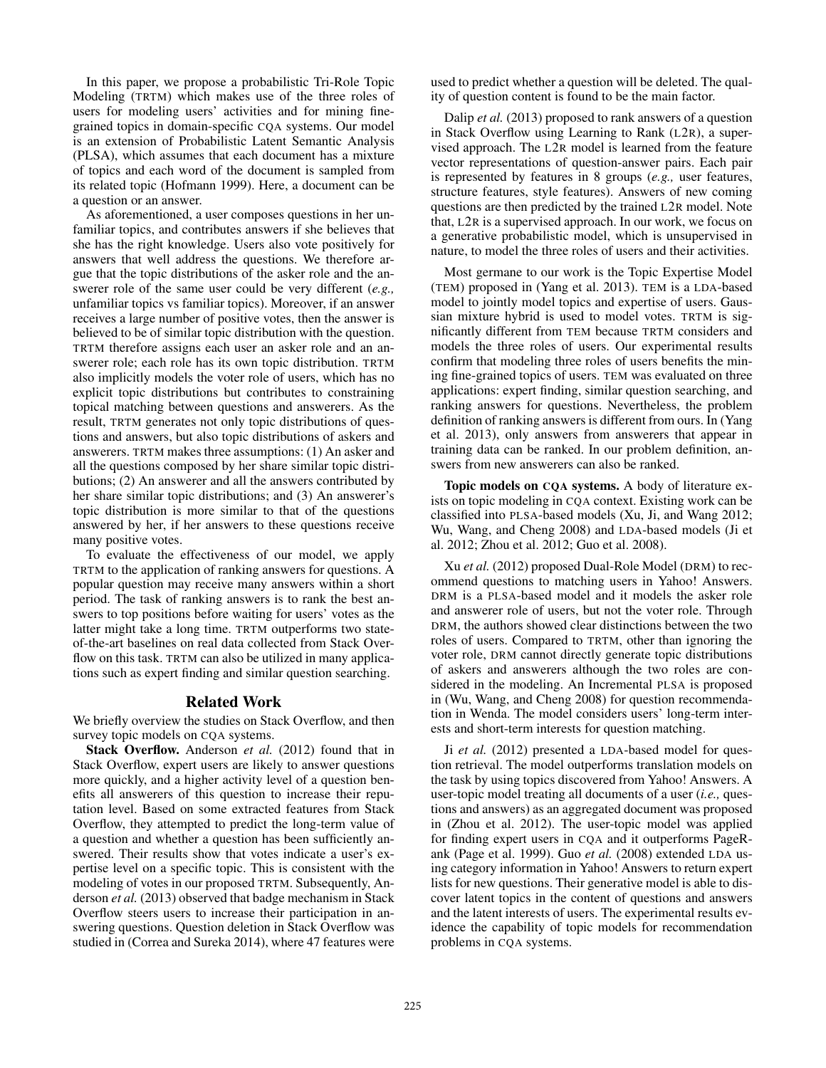In this paper, we propose a probabilistic Tri-Role Topic Modeling (TRTM) which makes use of the three roles of users for modeling users' activities and for mining finegrained topics in domain-specific CQA systems. Our model is an extension of Probabilistic Latent Semantic Analysis (PLSA), which assumes that each document has a mixture of topics and each word of the document is sampled from its related topic (Hofmann 1999). Here, a document can be a question or an answer.

As aforementioned, a user composes questions in her unfamiliar topics, and contributes answers if she believes that she has the right knowledge. Users also vote positively for answers that well address the questions. We therefore argue that the topic distributions of the asker role and the answerer role of the same user could be very different (*e.g.,* unfamiliar topics vs familiar topics). Moreover, if an answer receives a large number of positive votes, then the answer is believed to be of similar topic distribution with the question. TRTM therefore assigns each user an asker role and an answerer role; each role has its own topic distribution. TRTM also implicitly models the voter role of users, which has no explicit topic distributions but contributes to constraining topical matching between questions and answerers. As the result, TRTM generates not only topic distributions of questions and answers, but also topic distributions of askers and answerers. TRTM makes three assumptions: (1) An asker and all the questions composed by her share similar topic distributions; (2) An answerer and all the answers contributed by her share similar topic distributions; and (3) An answerer's topic distribution is more similar to that of the questions answered by her, if her answers to these questions receive many positive votes.

To evaluate the effectiveness of our model, we apply TRTM to the application of ranking answers for questions. A popular question may receive many answers within a short period. The task of ranking answers is to rank the best answers to top positions before waiting for users' votes as the latter might take a long time. TRTM outperforms two stateof-the-art baselines on real data collected from Stack Overflow on this task. TRTM can also be utilized in many applications such as expert finding and similar question searching.

### Related Work

We briefly overview the studies on Stack Overflow, and then survey topic models on CQA systems.

Stack Overflow. Anderson *et al.* (2012) found that in Stack Overflow, expert users are likely to answer questions more quickly, and a higher activity level of a question benefits all answerers of this question to increase their reputation level. Based on some extracted features from Stack Overflow, they attempted to predict the long-term value of a question and whether a question has been sufficiently answered. Their results show that votes indicate a user's expertise level on a specific topic. This is consistent with the modeling of votes in our proposed TRTM. Subsequently, Anderson *et al.* (2013) observed that badge mechanism in Stack Overflow steers users to increase their participation in answering questions. Question deletion in Stack Overflow was studied in (Correa and Sureka 2014), where 47 features were used to predict whether a question will be deleted. The quality of question content is found to be the main factor.

Dalip *et al.* (2013) proposed to rank answers of a question in Stack Overflow using Learning to Rank (L2R), a supervised approach. The L2R model is learned from the feature vector representations of question-answer pairs. Each pair is represented by features in 8 groups (*e.g.,* user features, structure features, style features). Answers of new coming questions are then predicted by the trained L2R model. Note that, L2R is a supervised approach. In our work, we focus on a generative probabilistic model, which is unsupervised in nature, to model the three roles of users and their activities.

Most germane to our work is the Topic Expertise Model (TEM) proposed in (Yang et al. 2013). TEM is a LDA-based model to jointly model topics and expertise of users. Gaussian mixture hybrid is used to model votes. TRTM is significantly different from TEM because TRTM considers and models the three roles of users. Our experimental results confirm that modeling three roles of users benefits the mining fine-grained topics of users. TEM was evaluated on three applications: expert finding, similar question searching, and ranking answers for questions. Nevertheless, the problem definition of ranking answers is different from ours. In (Yang et al. 2013), only answers from answerers that appear in training data can be ranked. In our problem definition, answers from new answerers can also be ranked.

Topic models on CQA systems. A body of literature exists on topic modeling in CQA context. Existing work can be classified into PLSA-based models (Xu, Ji, and Wang 2012; Wu, Wang, and Cheng 2008) and LDA-based models (Ji et al. 2012; Zhou et al. 2012; Guo et al. 2008).

Xu *et al.* (2012) proposed Dual-Role Model (DRM) to recommend questions to matching users in Yahoo! Answers. DRM is a PLSA-based model and it models the asker role and answerer role of users, but not the voter role. Through DRM, the authors showed clear distinctions between the two roles of users. Compared to TRTM, other than ignoring the voter role, DRM cannot directly generate topic distributions of askers and answerers although the two roles are considered in the modeling. An Incremental PLSA is proposed in (Wu, Wang, and Cheng 2008) for question recommendation in Wenda. The model considers users' long-term interests and short-term interests for question matching.

Ji *et al.* (2012) presented a LDA-based model for question retrieval. The model outperforms translation models on the task by using topics discovered from Yahoo! Answers. A user-topic model treating all documents of a user (*i.e.,* questions and answers) as an aggregated document was proposed in (Zhou et al. 2012). The user-topic model was applied for finding expert users in CQA and it outperforms PageRank (Page et al. 1999). Guo *et al.* (2008) extended LDA using category information in Yahoo! Answers to return expert lists for new questions. Their generative model is able to discover latent topics in the content of questions and answers and the latent interests of users. The experimental results evidence the capability of topic models for recommendation problems in CQA systems.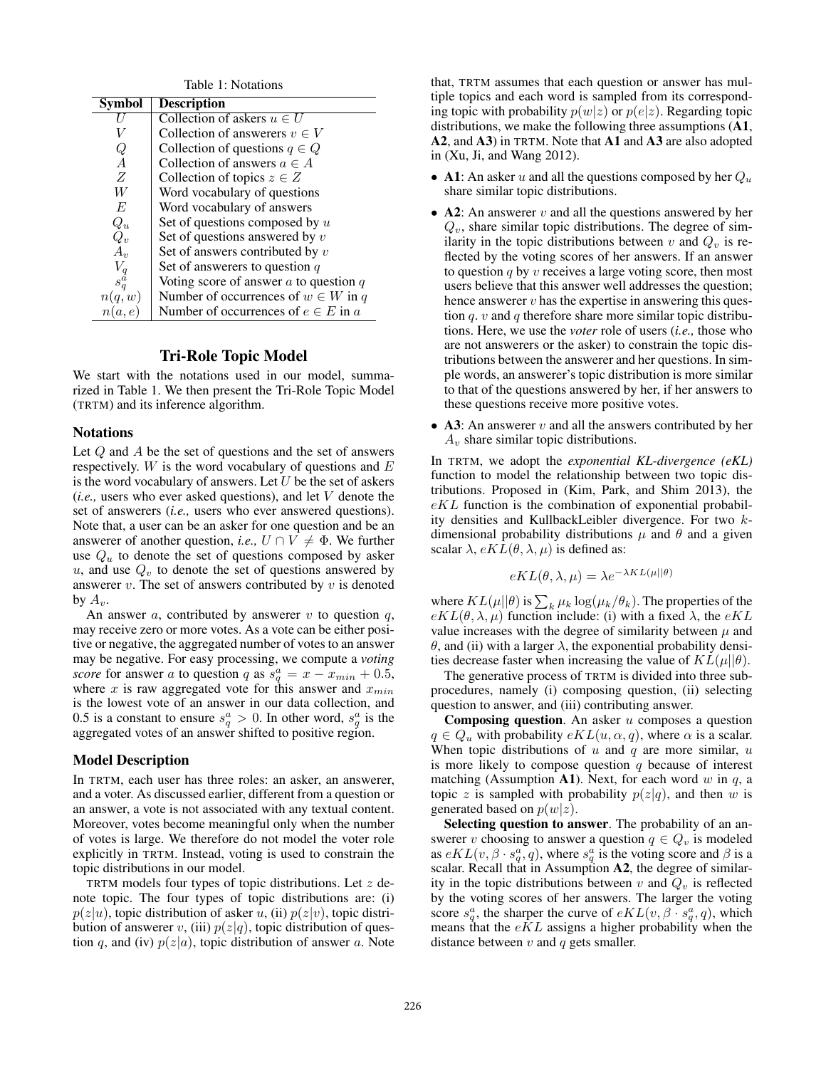| Table 1: Notations |                                            |  |  |  |  |
|--------------------|--------------------------------------------|--|--|--|--|
| <b>Symbol</b>      | <b>Description</b>                         |  |  |  |  |
|                    | Collection of askers $u \in U$             |  |  |  |  |
|                    | Collection of answerers $v \in V$          |  |  |  |  |
| Ų                  | Collection of questions $q \in Q$          |  |  |  |  |
| $\overline{A}$     | Collection of answers $a \in A$            |  |  |  |  |
| Z                  | Collection of topics $z \in Z$             |  |  |  |  |
| W                  | Word vocabulary of questions               |  |  |  |  |
| E                  | Word vocabulary of answers                 |  |  |  |  |
| $Q_u$              | Set of questions composed by $u$           |  |  |  |  |
| $Q_v$              | Set of questions answered by $v$           |  |  |  |  |
| $A_{\nu}$          | Set of answers contributed by $v$          |  |  |  |  |
|                    | Set of answerers to question $q$           |  |  |  |  |
| $s_q^{\tilde{a}}$  | Voting score of answer $a$ to question $q$ |  |  |  |  |
| n(q, w)            | Number of occurrences of $w \in W$ in q    |  |  |  |  |
| n(a,e)             | Number of occurrences of $e \in E$ in a    |  |  |  |  |

## Tri-Role Topic Model

We start with the notations used in our model, summarized in Table 1. We then present the Tri-Role Topic Model (TRTM) and its inference algorithm.

#### Notations

Let  $Q$  and  $A$  be the set of questions and the set of answers respectively.  $W$  is the word vocabulary of questions and  $E$ is the word vocabulary of answers. Let  $U$  be the set of askers (*i.e.,* users who ever asked questions), and let V denote the set of answerers (*i.e.,* users who ever answered questions). Note that, a user can be an asker for one question and be an answerer of another question, *i.e.*,  $U \cap V \neq \Phi$ . We further use  $Q_u$  to denote the set of questions composed by asker  $u$ , and use  $Q_v$  to denote the set of questions answered by answerer  $v$ . The set of answers contributed by  $v$  is denoted by  $A_v$ .

An answer  $a$ , contributed by answerer  $v$  to question  $q$ , may receive zero or more votes. As a vote can be either positive or negative, the aggregated number of votes to an answer may be negative. For easy processing, we compute a *voting score* for answer a to question q as  $s_q^a = x - x_{min} + 0.5$ , where x is raw aggregated vote for this answer and  $x_{min}$ is the lowest vote of an answer in our data collection, and 0.5 is a constant to ensure  $s_q^a > 0$ . In other word,  $s_q^a$  is the aggregated votes of an answer shifted to positive region.

#### Model Description

In TRTM, each user has three roles: an asker, an answerer, and a voter. As discussed earlier, different from a question or an answer, a vote is not associated with any textual content. Moreover, votes become meaningful only when the number of votes is large. We therefore do not model the voter role explicitly in TRTM. Instead, voting is used to constrain the topic distributions in our model.

TRTM models four types of topic distributions. Let  $z$  denote topic. The four types of topic distributions are: (i)  $p(z|u)$ , topic distribution of asker u, (ii)  $p(z|v)$ , topic distribution of answerer v, (iii)  $p(z|q)$ , topic distribution of question q, and (iv)  $p(z|a)$ , topic distribution of answer a. Note

that, TRTM assumes that each question or answer has multiple topics and each word is sampled from its corresponding topic with probability  $p(w|z)$  or  $p(e|z)$ . Regarding topic distributions, we make the following three assumptions (A1, A2, and A3) in TRTM. Note that A1 and A3 are also adopted in (Xu, Ji, and Wang 2012).

- A1: An asker u and all the questions composed by her  $Q_u$ share similar topic distributions.
- A2: An answerer  $v$  and all the questions answered by her  $Q_v$ , share similar topic distributions. The degree of similarity in the topic distributions between v and  $Q_v$  is reflected by the voting scores of her answers. If an answer to question  $q$  by  $v$  receives a large voting score, then most users believe that this answer well addresses the question; hence answerer  $v$  has the expertise in answering this question q. v and q therefore share more similar topic distributions. Here, we use the *voter* role of users (*i.e.,* those who are not answerers or the asker) to constrain the topic distributions between the answerer and her questions. In simple words, an answerer's topic distribution is more similar to that of the questions answered by her, if her answers to these questions receive more positive votes.
- A3: An answerer  $v$  and all the answers contributed by her  $A<sub>v</sub>$  share similar topic distributions.

In TRTM, we adopt the *exponential KL-divergence (eKL)* function to model the relationship between two topic distributions. Proposed in (Kim, Park, and Shim 2013), the  $eKL$  function is the combination of exponential probability densities and KullbackLeibler divergence. For two kdimensional probability distributions  $\mu$  and  $\theta$  and a given scalar  $\lambda$ ,  $eKL(\theta, \lambda, \mu)$  is defined as:

$$
eKL(\theta, \lambda, \mu) = \lambda e^{-\lambda KL(\mu||\theta)}
$$

where  $KL(\mu||\theta)$  is  $\sum_{k}\mu_{k}\log(\mu_{k}/\theta_{k})$ . The properties of the  $eKL(\theta, \lambda, \mu)$  function include: (i) with a fixed  $\lambda$ , the  $eKL$ value increases with the degree of similarity between  $\mu$  and θ, and (ii) with a larger λ, the exponential probability densities decrease faster when increasing the value of  $KL(\mu||\theta)$ .

The generative process of TRTM is divided into three subprocedures, namely (i) composing question, (ii) selecting question to answer, and (iii) contributing answer.

**Composing question.** An asker  $u$  composes a question  $q \in Q_u$  with probability  $eKL(u, \alpha, q)$ , where  $\alpha$  is a scalar. When topic distributions of  $u$  and  $q$  are more similar,  $u$ is more likely to compose question  $q$  because of interest matching (Assumption A1). Next, for each word w in  $q$ , a topic z is sampled with probability  $p(z|q)$ , and then w is generated based on  $p(w|z)$ .

Selecting question to answer. The probability of an answerer v choosing to answer a question  $q \in Q_v$  is modeled as  $eKL(v, \beta \cdot s_q^a, q)$ , where  $s_q^a$  is the voting score and  $\beta$  is a scalar. Recall that in Assumption A2, the degree of similarity in the topic distributions between  $v$  and  $Q_v$  is reflected by the voting scores of her answers. The larger the voting score  $s_q^a$ , the sharper the curve of  $eKL(v, \beta \cdot s_q^a, q)$ , which means that the  $eKL$  assigns a higher probability when the distance between  $v$  and  $q$  gets smaller.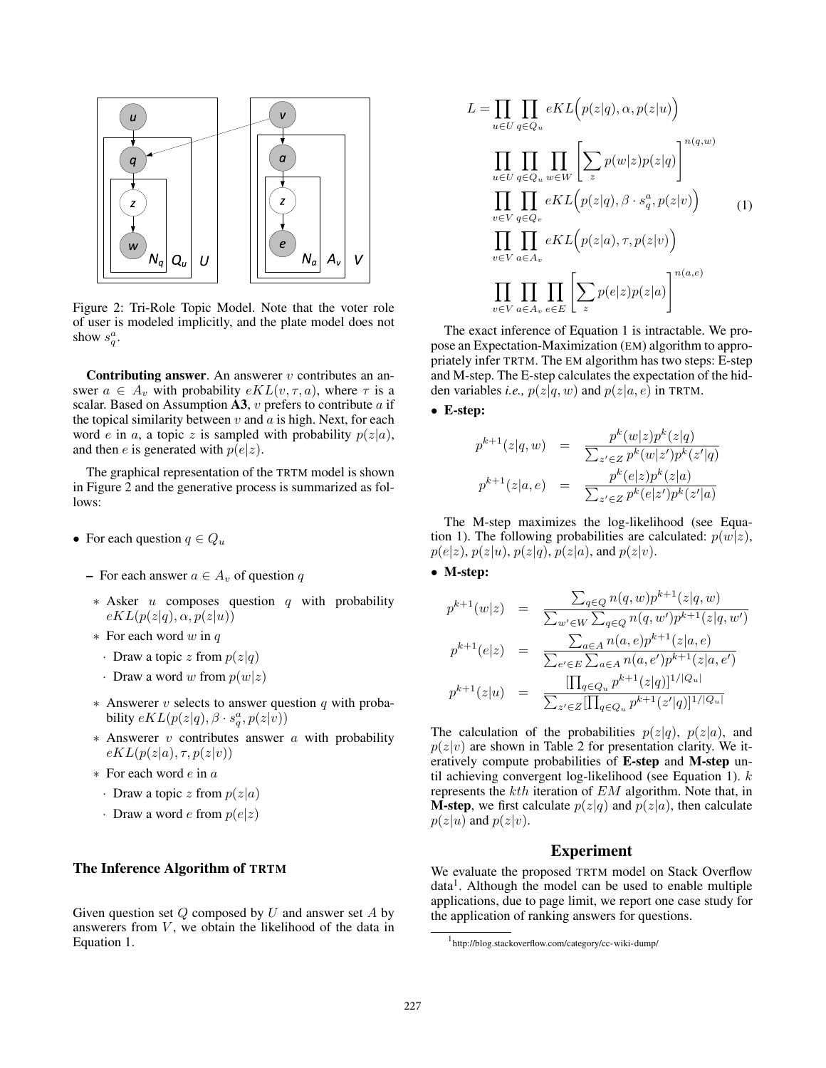

Figure 2: Tri-Role Topic Model. Note that the voter role of user is modeled implicitly, and the plate model does not show  $s_q^a$ .

**Contributing answer.** An answerer  $v$  contributes an answer  $a \in A_v$  with probability  $eKL(v, \tau, a)$ , where  $\tau$  is a scalar. Based on Assumption  $\mathbf{A3}, v$  prefers to contribute a if the topical similarity between  $v$  and  $a$  is high. Next, for each word  $e$  in  $a$ , a topic  $z$  is sampled with probability  $p(z|a)$ , and then *e* is generated with  $p(e|z)$ .

The graphical representation of the TRTM model is shown in Figure 2 and the generative process is summarized as follows:

- For each question  $q \in Q_u$ 
	- For each answer  $a \in A_v$  of question q
	- ∗ Asker u composes question q with probability  $eKL(p(z|q), \alpha, p(z|u))$
	- $\ast$  For each word w in q
	- Draw a topic z from  $p(z|q)$
	- · Draw a word w from  $p(w|z)$
	- $*$  Answerer v selects to answer question q with probability  $eKL(p(z|q), \beta \cdot s_q^a, p(z|\bar{v}))$
	- $*$  Answerer  $v$  contributes answer  $a$  with probability  $eKL(p(z|a), \tau, p(z|v))$
	- ∗ For each word e in a
		- · Draw a topic z from  $p(z|a)$
	- · Draw a word *e* from  $p(e|z)$

## The Inference Algorithm of TRTM

Given question set  $Q$  composed by  $U$  and answer set  $A$  by answerers from  $V$ , we obtain the likelihood of the data in Equation 1.

$$
L = \prod_{u \in U} \prod_{q \in Q_u} eKL(p(z|q), \alpha, p(z|u))
$$
  

$$
\prod_{u \in U} \prod_{q \in Q_u} \prod_{w \in W} \left[ \sum_z p(w|z)p(z|q) \right]^{n(q,w)}
$$
  

$$
\prod_{v \in V} \prod_{q \in Q_v} eKL(p(z|q), \beta \cdot s_q^a, p(z|v))
$$
  

$$
\prod_{v \in V} \prod_{a \in A_v} eKL(p(z|a), \tau, p(z|v))
$$
  

$$
\prod_{v \in V} \prod_{a \in A_v} \prod_{e \in E} \left[ \sum_z p(e|z)p(z|a) \right]^{n(a,e)}
$$

The exact inference of Equation 1 is intractable. We propose an Expectation-Maximization (EM) algorithm to appropriately infer TRTM. The EM algorithm has two steps: E-step and M-step. The E-step calculates the expectation of the hidden variables *i.e.*,  $p(z|q, w)$  and  $p(z|a, e)$  in TRTM.

### • E-step:

$$
p^{k+1}(z|q, w) = \frac{p^{k}(w|z)p^{k}(z|q)}{\sum_{z' \in Z} p^{k}(w|z')p^{k}(z'|q)}
$$

$$
p^{k+1}(z|a, e) = \frac{p^{k}(e|z)p^{k}(z|a)}{\sum_{z' \in Z} p^{k}(e|z')p^{k}(z'|a)}
$$

The M-step maximizes the log-likelihood (see Equation 1). The following probabilities are calculated:  $p(w|z)$ ,  $p(e|z)$ ,  $p(z|u)$ ,  $p(z|q)$ ,  $p(z|a)$ , and  $p(z|v)$ .

### • M-step:

$$
p^{k+1}(w|z) = \frac{\sum_{q \in Q} n(q, w)p^{k+1}(z|q, w)}{\sum_{w' \in W} \sum_{q \in Q} n(q, w')p^{k+1}(z|q, w')}
$$

$$
p^{k+1}(e|z) = \frac{\sum_{a \in A} n(a, e)p^{k+1}(z|a, e)}{\sum_{e' \in E} \sum_{a \in A} n(a, e')p^{k+1}(z|a, e')}
$$

$$
p^{k+1}(z|u) = \frac{\prod_{q \in Q_u} p^{k+1}(z|q)|^{1/|Q_u|}}{\sum_{z' \in Z}[\prod_{q \in Q_u} p^{k+1}(z'|q)]^{1/|Q_u|}}
$$

The calculation of the probabilities  $p(z|q)$ ,  $p(z|a)$ , and  $p(z|v)$  are shown in Table 2 for presentation clarity. We iteratively compute probabilities of E-step and M-step until achieving convergent log-likelihood (see Equation 1). k represents the kth iteration of EM algorithm. Note that, in **M-step**, we first calculate  $p(z|q)$  and  $p(z|a)$ , then calculate  $p(z|u)$  and  $p(z|v)$ .

#### Experiment

We evaluate the proposed TRTM model on Stack Overflow data<sup>1</sup>. Although the model can be used to enable multiple applications, due to page limit, we report one case study for the application of ranking answers for questions.

<sup>1</sup> http://blog.stackoverflow.com/category/cc-wiki-dump/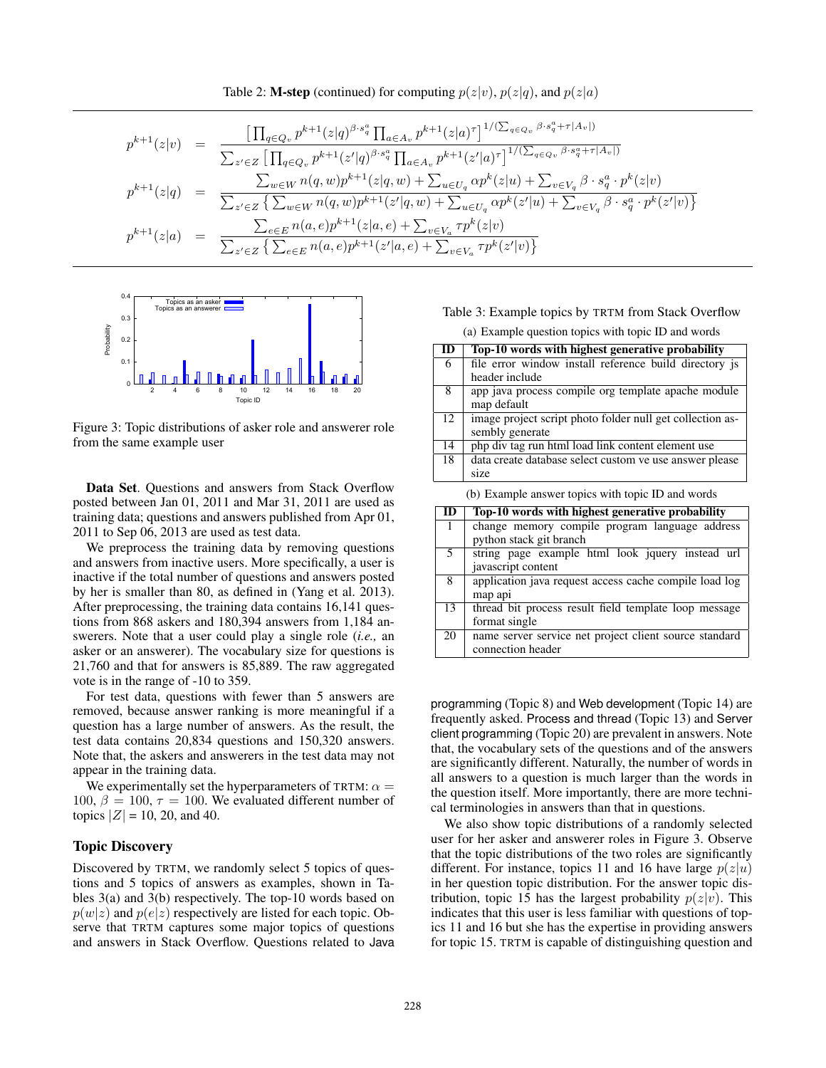Table 2: **M-step** (continued) for computing  $p(z|v)$ ,  $p(z|q)$ , and  $p(z|a)$ 

$$
p^{k+1}(z|v) = \frac{\left[\prod_{q\in Q_v} p^{k+1}(z|q)^{\beta \cdot s_q^a} \prod_{a\in A_v} p^{k+1}(z|a)^{\tau}\right]^{1/(\sum_{q\in Q_v} \beta \cdot s_q^a + \tau |A_v|)}{\sum_{z'\in Z} \left[\prod_{q\in Q_v} p^{k+1}(z'|q)^{\beta \cdot s_q^a} \prod_{a\in A_v} p^{k+1}(z'|a)^{\tau}\right]^{1/(\sum_{q\in Q_v} \beta \cdot s_q^a + \tau |A_v|)}}
$$
\n
$$
p^{k+1}(z|q) = \frac{\sum_{w\in W} n(q,w)p^{k+1}(z|q,w) + \sum_{u\in U_q} \alpha p^k(z|u) + \sum_{v\in V_q} \beta \cdot s_q^a \cdot p^k(z|v)}{\sum_{z'\in Z} \left\{\sum_{w\in W} n(q,w)p^{k+1}(z'|q,w) + \sum_{u\in U_q} \alpha p^k(z'|u) + \sum_{v\in V_q} \beta \cdot s_q^a \cdot p^k(z'|v)\right\}}
$$
\n
$$
p^{k+1}(z|a) = \frac{\sum_{e\in E} n(a,e)p^{k+1}(z|a,e) + \sum_{v\in V_a} \tau p^k(z|v)}{\sum_{z'\in Z} \left\{\sum_{e\in E} n(a,e)p^{k+1}(z'|a,e) + \sum_{v\in V_a} \tau p^k(z'|v)\right\}}
$$



Figure 3: Topic distributions of asker role and answerer role from the same example user

Data Set. Questions and answers from Stack Overflow posted between Jan 01, 2011 and Mar 31, 2011 are used as training data; questions and answers published from Apr 01, 2011 to Sep 06, 2013 are used as test data.

We preprocess the training data by removing questions and answers from inactive users. More specifically, a user is inactive if the total number of questions and answers posted by her is smaller than 80, as defined in (Yang et al. 2013). After preprocessing, the training data contains 16,141 questions from 868 askers and 180,394 answers from 1,184 answerers. Note that a user could play a single role (*i.e.,* an asker or an answerer). The vocabulary size for questions is 21,760 and that for answers is 85,889. The raw aggregated vote is in the range of -10 to 359.

For test data, questions with fewer than 5 answers are removed, because answer ranking is more meaningful if a question has a large number of answers. As the result, the test data contains 20,834 questions and 150,320 answers. Note that, the askers and answerers in the test data may not appear in the training data.

We experimentally set the hyperparameters of TRTM:  $\alpha =$ 100,  $\beta = 100$ ,  $\tau = 100$ . We evaluated different number of topics  $|Z| = 10$ , 20, and 40.

#### Topic Discovery

Discovered by TRTM, we randomly select 5 topics of questions and 5 topics of answers as examples, shown in Tables 3(a) and 3(b) respectively. The top-10 words based on  $p(w|z)$  and  $p(e|z)$  respectively are listed for each topic. Observe that TRTM captures some major topics of questions and answers in Stack Overflow. Questions related to Java

## Table 3: Example topics by TRTM from Stack Overflow (a) Example question topics with topic ID and words

| ID                                               | Top-10 words with highest generative probability          |  |  |  |
|--------------------------------------------------|-----------------------------------------------------------|--|--|--|
| 6                                                | file error window install reference build directory is    |  |  |  |
|                                                  | header include                                            |  |  |  |
| $\overline{8}$                                   | app java process compile org template apache module       |  |  |  |
|                                                  | map default                                               |  |  |  |
| 12                                               | image project script photo folder null get collection as- |  |  |  |
|                                                  | sembly generate                                           |  |  |  |
| 14                                               | php div tag run html load link content element use        |  |  |  |
| 18                                               | data create database select custom ve use answer please   |  |  |  |
|                                                  | size                                                      |  |  |  |
|                                                  | (b) Example answer topics with topic ID and words         |  |  |  |
| Ton-10 words with highest generative probability |                                                           |  |  |  |

| ID     | Top-10 words with highest generative probability       |
|--------|--------------------------------------------------------|
|        | change memory compile program language address         |
|        | python stack git branch                                |
| $\sim$ | string page example html look jquery instead url       |
|        | javascript content                                     |
| 8      | application java request access cache compile load log |
|        | map api                                                |
| 13     | thread bit process result field template loop message  |
|        | format single                                          |
| 20     | name server service net project client source standard |
|        | connection header                                      |

programming (Topic 8) and Web development (Topic 14) are frequently asked. Process and thread (Topic 13) and Server client programming (Topic 20) are prevalent in answers. Note that, the vocabulary sets of the questions and of the answers are significantly different. Naturally, the number of words in all answers to a question is much larger than the words in the question itself. More importantly, there are more technical terminologies in answers than that in questions.

We also show topic distributions of a randomly selected user for her asker and answerer roles in Figure 3. Observe that the topic distributions of the two roles are significantly different. For instance, topics 11 and 16 have large  $p(z|u)$ in her question topic distribution. For the answer topic distribution, topic 15 has the largest probability  $p(z|v)$ . This indicates that this user is less familiar with questions of topics 11 and 16 but she has the expertise in providing answers for topic 15. TRTM is capable of distinguishing question and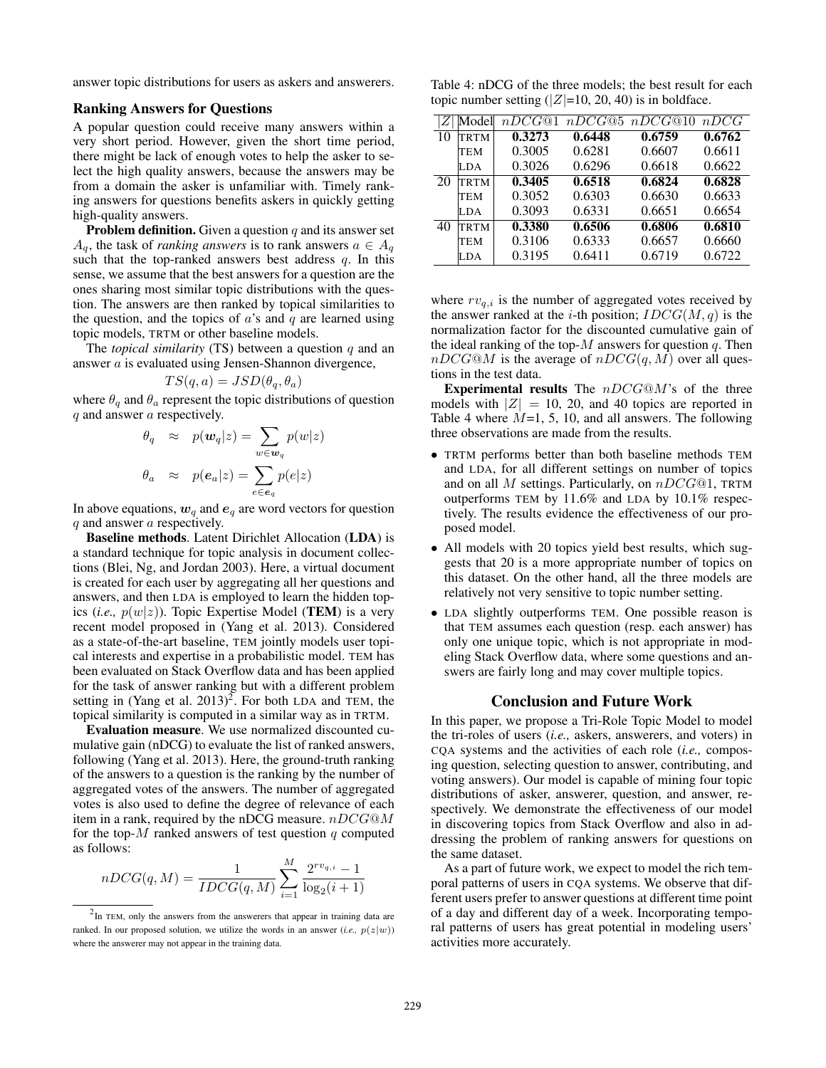answer topic distributions for users as askers and answerers.

#### Ranking Answers for Questions

A popular question could receive many answers within a very short period. However, given the short time period, there might be lack of enough votes to help the asker to select the high quality answers, because the answers may be from a domain the asker is unfamiliar with. Timely ranking answers for questions benefits askers in quickly getting high-quality answers.

**Problem definition.** Given a question  $q$  and its answer set  $A_q$ , the task of *ranking answers* is to rank answers  $a \in A_q$ such that the top-ranked answers best address  $q$ . In this sense, we assume that the best answers for a question are the ones sharing most similar topic distributions with the question. The answers are then ranked by topical similarities to the question, and the topics of  $a$ 's and  $q$  are learned using topic models, TRTM or other baseline models.

The *topical similarity* (TS) between a question q and an answer a is evaluated using Jensen-Shannon divergence,

$$
TS(q, a) = JSD(\theta_q, \theta_a)
$$

where  $\theta_q$  and  $\theta_a$  represent the topic distributions of question q and answer a respectively.

$$
\theta_q \approx p(\mathbf{w}_q|z) = \sum_{w \in \mathbf{w}_q} p(w|z)
$$

$$
\theta_a \approx p(\mathbf{e}_a|z) = \sum_{e \in \mathbf{e}_q} p(e|z)
$$

In above equations,  $w_q$  and  $e_q$  are word vectors for question q and answer a respectively.

Baseline methods. Latent Dirichlet Allocation (LDA) is a standard technique for topic analysis in document collections (Blei, Ng, and Jordan 2003). Here, a virtual document is created for each user by aggregating all her questions and answers, and then LDA is employed to learn the hidden topics (*i.e.*,  $p(w|z)$ ). Topic Expertise Model (**TEM**) is a very recent model proposed in (Yang et al. 2013). Considered as a state-of-the-art baseline, TEM jointly models user topical interests and expertise in a probabilistic model. TEM has been evaluated on Stack Overflow data and has been applied for the task of answer ranking but with a different problem setting in (Yang et al.  $2013)^2$ . For both LDA and TEM, the topical similarity is computed in a similar way as in TRTM.

Evaluation measure. We use normalized discounted cumulative gain (nDCG) to evaluate the list of ranked answers, following (Yang et al. 2013). Here, the ground-truth ranking of the answers to a question is the ranking by the number of aggregated votes of the answers. The number of aggregated votes is also used to define the degree of relevance of each item in a rank, required by the nDCG measure.  $nDCG@M$ for the top- $M$  ranked answers of test question  $q$  computed as follows:

$$
nDCG(q, M) = \frac{1}{IDCG(q, M)} \sum_{i=1}^{M} \frac{2^{rv_{q,i}} - 1}{\log_2(i+1)}
$$

Table 4: nDCG of the three models; the best result for each topic number setting  $(|Z|=10, 20, 40)$  is in boldface.

|    | Model       | nDCG@1 |        | $nDCG@5$ $nDCG@10$ | nDCG   |
|----|-------------|--------|--------|--------------------|--------|
| 10 | <b>TRTM</b> | 0.3273 | 0.6448 | 0.6759             | 0.6762 |
|    | TEM         | 0.3005 | 0.6281 | 0.6607             | 0.6611 |
|    | LDA.        | 0.3026 | 0.6296 | 0.6618             | 0.6622 |
| 20 | TRTM        | 0.3405 | 0.6518 | 0.6824             | 0.6828 |
|    | TEM         | 0.3052 | 0.6303 | 0.6630             | 0.6633 |
|    | ILDA        | 0.3093 | 0.6331 | 0.6651             | 0.6654 |
| 40 | <b>TRTM</b> | 0.3380 | 0.6506 | 0.6806             | 0.6810 |
|    | TEM         | 0.3106 | 0.6333 | 0.6657             | 0.6660 |
|    | LDA         | 0.3195 | 0.6411 | 0.6719             | 0.6722 |

where  $rv_{q,i}$  is the number of aggregated votes received by the answer ranked at the *i*-th position;  $IDCG(M, q)$  is the normalization factor for the discounted cumulative gain of the ideal ranking of the top- $M$  answers for question  $q$ . Then  $nDCG@M$  is the average of  $nDCG(q, M)$  over all questions in the test data.

**Experimental results** The  $nDCG@M$ 's of the three models with  $|Z| = 10$ , 20, and 40 topics are reported in Table 4 where  $M=1, 5, 10,$  and all answers. The following three observations are made from the results.

- TRTM performs better than both baseline methods TEM and LDA, for all different settings on number of topics and on all M settings. Particularly, on  $nDCG@1$ , TRTM outperforms TEM by 11.6% and LDA by 10.1% respectively. The results evidence the effectiveness of our proposed model.
- All models with 20 topics yield best results, which suggests that 20 is a more appropriate number of topics on this dataset. On the other hand, all the three models are relatively not very sensitive to topic number setting.
- LDA slightly outperforms TEM. One possible reason is that TEM assumes each question (resp. each answer) has only one unique topic, which is not appropriate in modeling Stack Overflow data, where some questions and answers are fairly long and may cover multiple topics.

### Conclusion and Future Work

In this paper, we propose a Tri-Role Topic Model to model the tri-roles of users (*i.e.,* askers, answerers, and voters) in CQA systems and the activities of each role (*i.e.,* composing question, selecting question to answer, contributing, and voting answers). Our model is capable of mining four topic distributions of asker, answerer, question, and answer, respectively. We demonstrate the effectiveness of our model in discovering topics from Stack Overflow and also in addressing the problem of ranking answers for questions on the same dataset.

As a part of future work, we expect to model the rich temporal patterns of users in CQA systems. We observe that different users prefer to answer questions at different time point of a day and different day of a week. Incorporating temporal patterns of users has great potential in modeling users' activities more accurately.

 $2$ In TEM, only the answers from the answerers that appear in training data are ranked. In our proposed solution, we utilize the words in an answer  $(i.e., p(z|w))$ where the answerer may not appear in the training data.